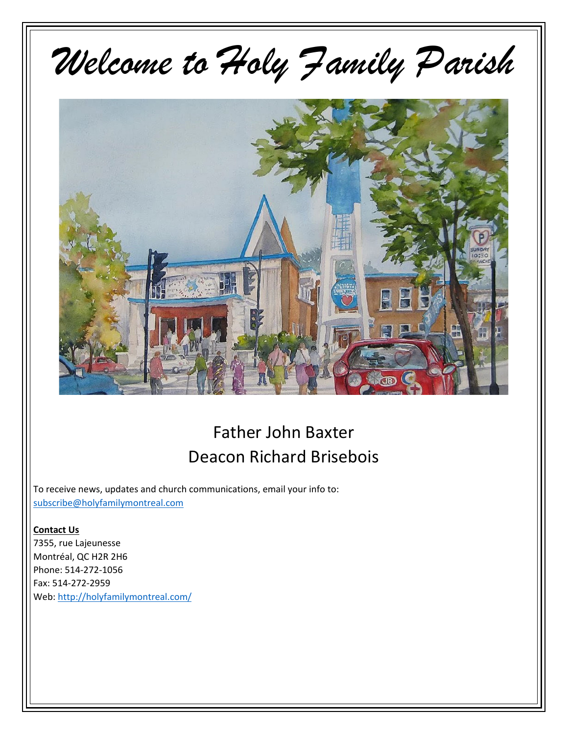# Welcome to Holy Family Parish



### Father John Baxter Deacon Richard Brisebois

To receive news, updates and church communications, email your info to: subscribe@holyfamilymontreal.com

#### **Contact Us**

7355, rue Lajeunesse Montréal, QC H2R 2H6 Phone: 514-272-1056 Fax: 514-272-2959 Web: http://holyfamilymontreal.com/